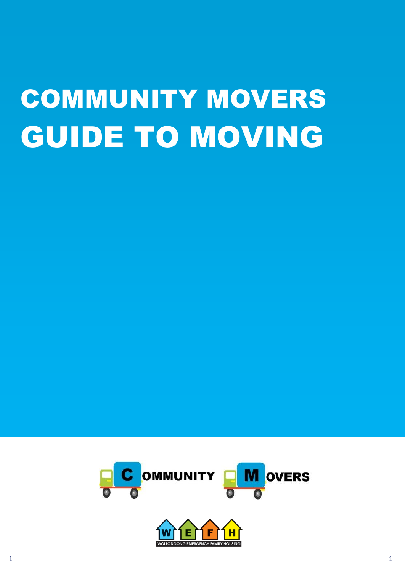# COMMUNITY MOVERS GUIDE TO MOVING

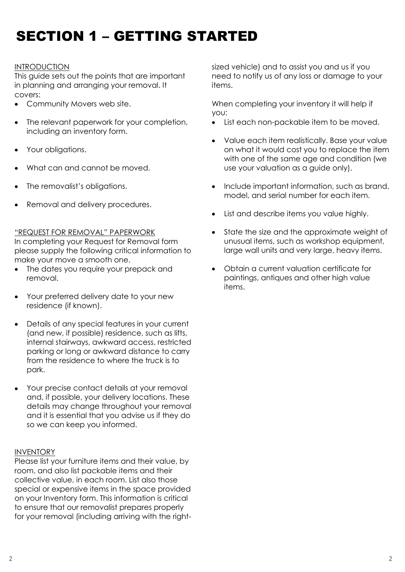# SECTION 1 – GETTING STARTED

## INTRODUCTION

This guide sets out the points that are important in planning and arranging your removal. It covers:

- Community Movers web site.  $\bullet$
- The relevant paperwork for your completion, including an inventory form.
- Your obligations.
- What can and cannot be moved.
- The removalist's obligations.
- Removal and delivery procedures.

## "REQUEST FOR REMOVAL" PAPERWORK

In completing your Request for Removal form please supply the following critical information to make your move a smooth one.

- The dates you require your prepack and removal.
- Your preferred delivery date to your new residence (if known).
- Details of any special features in your current (and new, if possible) residence, such as lifts, internal stairways, awkward access, restricted parking or long or awkward distance to carry from the residence to where the truck is to park.
- Your precise contact details at your removal and, if possible, your delivery locations. These details may change throughout your removal and it is essential that you advise us if they do so we can keep you informed.

## **INVENTORY**

Please list your furniture items and their value, by room, and also list packable items and their collective value, in each room. List also those special or expensive items in the space provided on your Inventory form. This information is critical to ensure that our removalist prepares properly for your removal (including arriving with the rightsized vehicle) and to assist you and us if you need to notify us of any loss or damage to your items.

When completing your inventory it will help if you:

- List each non-packable item to be moved.
- Value each item realistically. Base your value on what it would cost you to replace the item with one of the same age and condition (we use your valuation as a guide only).
- Include important information, such as brand,  $\bullet$ model, and serial number for each item.
- List and describe items you value highly.
- $\bullet$ State the size and the approximate weight of unusual items, such as workshop equipment, large wall units and very large, heavy items.
- Obtain a current valuation certificate for paintings, antiques and other high value items.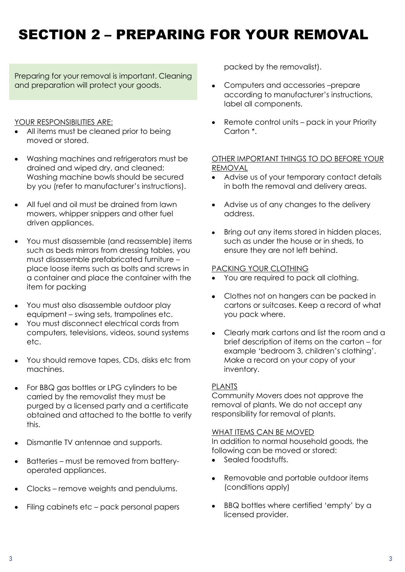# SECTION 2 – PREPARING FOR YOUR REMOVAL

Preparing for your removal is important. Cleaning and preparation will protect your goods.

## YOUR RESPONSIBILITIES ARE:

- All items must be cleaned prior to being moved or stored.
- Washing machines and refrigerators must be drained and wiped dry, and cleaned; Washing machine bowls should be secured by you (refer to manufacturer's instructions).
- All fuel and oil must be drained from lawn mowers, whipper snippers and other fuel driven appliances.
- You must disassemble (and reassemble) items such as beds mirrors from dressing tables, you must disassemble prefabricated furniture – place loose items such as bolts and screws in a container and place the container with the item for packing
- You must also disassemble outdoor play equipment – swing sets, trampolines etc.
- You must disconnect electrical cords from computers, televisions, videos, sound systems etc.
- You should remove tapes, CDs, disks etc from machines.
- For BBQ gas bottles or LPG cylinders to be carried by the removalist they must be purged by a licensed party and a certificate obtained and attached to the bottle to verify this.
- Dismantle TV antennae and supports.
- Batteries must be removed from batteryoperated appliances.
- Clocks remove weights and pendulums.
- Filing cabinets etc pack personal papers

packed by the removalist).

- Computers and accessories –prepare according to manufacturer's instructions, label all components.
- Remote control units pack in your Priority Carton \*.

## OTHER IMPORTANT THINGS TO DO BEFORE YOUR REMOVAL

- Advise us of your temporary contact details in both the removal and delivery areas.
- Advise us of any changes to the delivery address.
- Bring out any items stored in hidden places, such as under the house or in sheds, to ensure they are not left behind.

#### PACKING YOUR CLOTHING

- You are required to pack all clothing.
- $\bullet$ Clothes not on hangers can be packed in cartons or suitcases. Keep a record of what you pack where.
- Clearly mark cartons and list the room and a brief description of items on the carton – for example 'bedroom 3, children's clothing'. Make a record on your copy of your inventory.

## PLANTS

Community Movers does not approve the removal of plants. We do not accept any responsibility for removal of plants.

#### WHAT ITEMS CAN BE MOVED

In addition to normal household goods, the following can be moved or stored:

- Sealed foodstuffs.
- Removable and portable outdoor items (conditions apply)
- BBQ bottles where certified 'empty' by a licensed provider.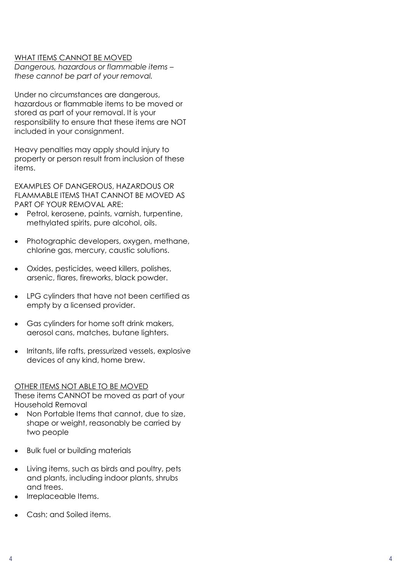#### WHAT ITEMS CANNOT BE MOVED

*Dangerous, hazardous or flammable items – these cannot be part of your removal.*

Under no circumstances are dangerous, hazardous or flammable items to be moved or stored as part of your removal. It is your responsibility to ensure that these items are NOT included in your consignment.

Heavy penalties may apply should injury to property or person result from inclusion of these items.

EXAMPLES OF DANGEROUS, HAZARDOUS OR FLAMMABLE ITEMS THAT CANNOT BE MOVED AS PART OF YOUR REMOVAL ARE :

- Petrol, kerosene, paints, varnish, turpentine, methylated spirits, pure alcohol, oils.
- Photographic developers, oxygen, methane, chlorine gas, mercury, caustic solutions.
- Oxides, pesticides, weed killers, polishes, arsenic, flares, fireworks, black powder.
- LPG cylinders that have not been certified as empty by a licensed provider.
- Gas cylinders for home soft drink makers, aerosol cans, matches, butane lighters.
- Irritants, life rafts, pressurized vessels, explosive  $\bullet$ devices of any kind, home brew.

#### OTHER ITEMS NOT ABLE TO BE MOVED

These items CANNOT be moved as part of your Household Removal

- Non Portable Items that cannot, due to size,  $\bullet$ shape or weight, reasonably be carried by two people<br>Bulk fuel or building materials
- 
- Living items, such as birds and poultry, pets and plants, including indoor plants, shrubs and trees.
- Irreplaceable Items.
- Cash; and Soiled items.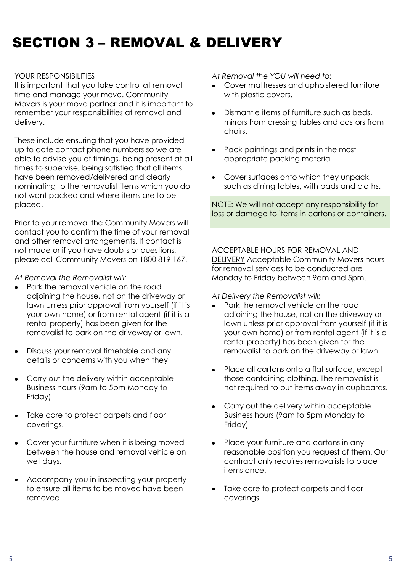# SECTION 3 – REMOVAL & DELIVERY

#### YOUR RESPONSIBILITIES

It is important that you take control at removal time and manage your move. Community Movers is your move partner and it is important to remember your responsibilities at removal and delivery.

These include ensuring that you have provided up to date contact phone numbers so we are able to advise you of timings, being present at all times to supervise, being satisfied that all items have been removed/delivered and clearly nominating to the removalist items which you do not want packed and where items are to be placed.

Prior to your removal the Community Movers will contact you to confirm the time of your removal and other removal arrangements. If contact is not made or if you have doubts or questions, please call Community Movers on 1800 819 167.

*At Removal the Removalist will:*

- Park the removal vehicle on the road adjoining the house, not on the driveway or lawn unless prior approval from yourself (if it is your own home) or from rental agent (if it is a rental property) has been given for the removalist to park on the driveway or lawn.
- Discuss your removal timetable and any details or concerns with you when they
- Carry out the delivery within acceptable Business hours (9am to 5pm Monday to Friday)
- Take care to protect carpets and floor coverings.
- Cover your furniture when it is being moved between the house and removal vehicle on wet days.
- Accompany you in inspecting your property to ensure all items to be moved have been removed.

*At Removal the YOU will need to:*

- Cover mattresses and upholstered furniture with plastic covers.
- Dismantle items of furniture such as beds, mirrors from dressing tables and castors from chairs.
- Pack paintings and prints in the most appropriate packing material.
- Cover surfaces onto which they unpack, such as dining tables, with pads and cloths.

NOTE: We will not accept any responsibility for loss or damage to items in cartons or containers.

#### ACCEPTABLE HOURS FOR REMOVAL AND

**DELIVERY** Acceptable Community Movers hours for removal services to be conducted are Monday to Friday between 9am and 5pm.

*At Delivery the Removalist will:*

- Park the removal vehicle on the road adjoining the house, not on the driveway or lawn unless prior approval from yourself (if it is your own home) or from rental agent (if it is a rental property) has been given for the removalist to park on the driveway or lawn.
- Place all cartons onto a flat surface, except those containing clothing. The removalist is not required to put items away in cupboards.
- Carry out the delivery within acceptable Business hours (9am to 5pm Monday to Friday)
- Place your furniture and cartons in any reasonable position you request of them. Our contract only requires removalists to place items once.
- Take care to protect carpets and floor coverings.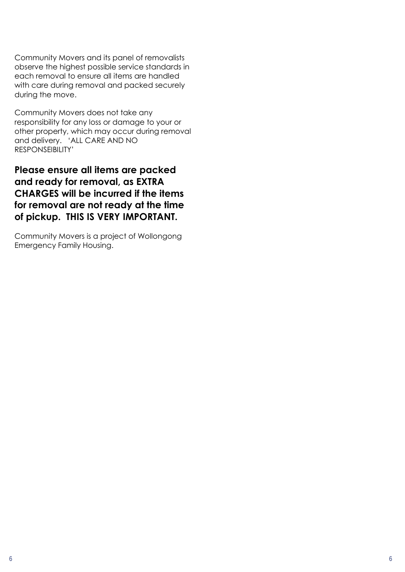Community Movers and its panel of removalists observe the highest possible service standards in each removal to ensure all items are handled with care during removal and packed securely during the move.

Community Movers does not take any responsibility for any loss or damage to your or other property, which may occur during removal and delivery. 'ALL CARE AND NO RESPONSEIBILITY'

**Please ensure all items are packed and ready for removal, as EXTRA CHARGES will be incurred if the items for removal are not ready at the time of pickup. THIS IS VERY IMPORTANT.**

Community Movers is a project of Wollongong Emergency Family Housing.